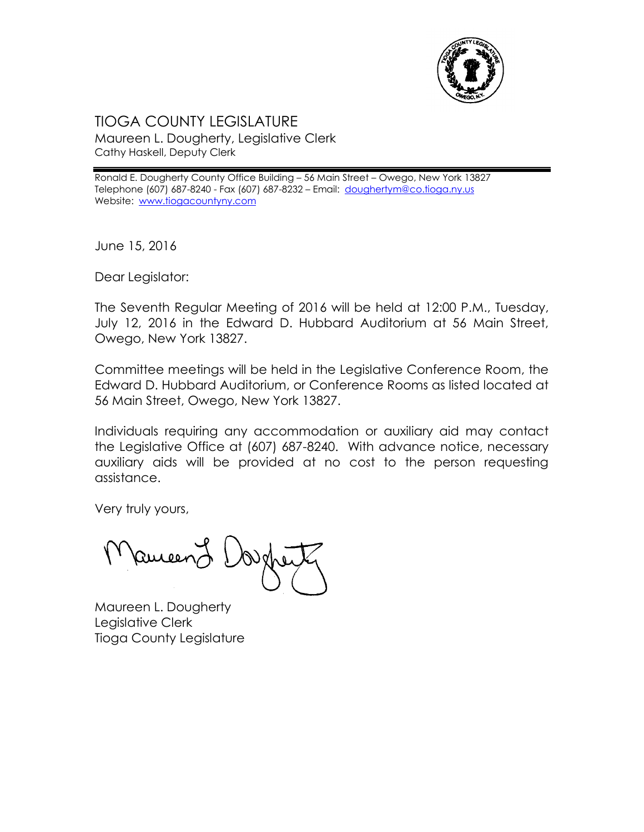

## TIOGA COUNTY LEGISLATURE Maureen L. Dougherty, Legislative Clerk Cathy Haskell, Deputy Clerk

Ronald E. Dougherty County Office Building – 56 Main Street – Owego, New York 13827 Telephone (607) 687-8240 - Fax (607) 687-8232 - Email: [doughertym@co.tioga.ny.us](mailto:doughertym@co.tioga.ny.us) Website: [www.tiogacountyny.com](http://www.tiogacountyny.com/)

June 15, 2016

Dear Legislator:

The Seventh Regular Meeting of 2016 will be held at 12:00 P.M., Tuesday, July 12, 2016 in the Edward D. Hubbard Auditorium at 56 Main Street, Owego, New York 13827.

Committee meetings will be held in the Legislative Conference Room, the Edward D. Hubbard Auditorium, or Conference Rooms as listed located at 56 Main Street, Owego, New York 13827.

Individuals requiring any accommodation or auxiliary aid may contact the Legislative Office at (607) 687-8240. With advance notice, necessary auxiliary aids will be provided at no cost to the person requesting assistance.

Very truly yours,

Ruceer

Maureen L. Dougherty Legislative Clerk Tioga County Legislature